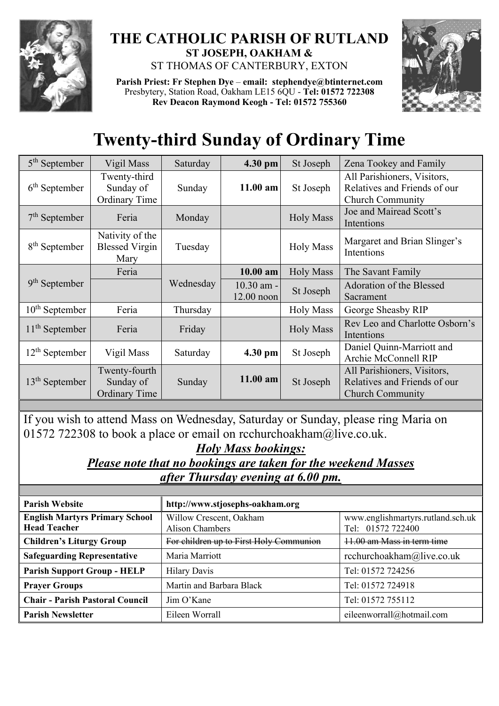

## **THE CATHOLIC PARISH OF RUTLAND ST JOSEPH, OAKHAM &**  ST THOMAS OF CANTERBURY, EXTON

**Parish Priest: Fr Stephen Dye** – **[email: stephendye@btinternet.com](mailto:email:%20%20stephendye@btinternet.com)** Presbytery, Station Road, Oakham LE15 6QU - **Tel: 01572 722308 Rev Deacon Raymond Keogh - Tel: 01572 755360**



## **Twenty-third Sunday of Ordinary Time**

| $5th$ September           | Vigil Mass                                         | Saturday  | 4.30 pm                      | St Joseph        | Zena Tookey and Family                                                                 |
|---------------------------|----------------------------------------------------|-----------|------------------------------|------------------|----------------------------------------------------------------------------------------|
| $6th$ September           | Twenty-third<br>Sunday of<br>Ordinary Time         | Sunday    | $11.00$ am                   | St Joseph        | All Parishioners, Visitors,<br>Relatives and Friends of our<br><b>Church Community</b> |
| $7th$ September           | Feria                                              | Monday    |                              | <b>Holy Mass</b> | Joe and Mairead Scott's<br>Intentions                                                  |
| 8 <sup>th</sup> September | Nativity of the<br><b>Blessed Virgin</b><br>Mary   | Tuesday   |                              | <b>Holy Mass</b> | Margaret and Brian Slinger's<br>Intentions                                             |
| $9th$ September           | Feria                                              | Wednesday | 10.00 am                     | <b>Holy Mass</b> | The Savant Family                                                                      |
|                           |                                                    |           | $10.30$ am -<br>$12.00$ noon | St Joseph        | Adoration of the Blessed<br>Sacrament                                                  |
| $10th$ September          | Feria                                              | Thursday  |                              | <b>Holy Mass</b> | George Sheasby RIP                                                                     |
| $11th$ September          | Feria                                              | Friday    |                              | <b>Holy Mass</b> | Rev Leo and Charlotte Osborn's<br>Intentions                                           |
| $12th$ September          | Vigil Mass                                         | Saturday  | 4.30 pm                      | St Joseph        | Daniel Quinn-Marriott and<br>Archie McConnell RIP                                      |
| $13th$ September          | Twenty-fourth<br>Sunday of<br><b>Ordinary Time</b> | Sunday    | $11.00$ am                   | St Joseph        | All Parishioners, Visitors,<br>Relatives and Friends of our<br><b>Church Community</b> |

If you wish to attend Mass on Wednesday, Saturday or Sunday, please ring Maria on 01572 722308 to book a place or email on [rcchurchoakham@live.co.uk.](mailto:rcchurchoakham@live.co.uk)

## *Holy Mass bookings:*

*Please note that no bookings are taken for the weekend Masses after Thursday evening at 6.00 pm.*

| <b>Parish Website</b>                                        | http://www.stjosephs-oakham.org                   |                                                        |  |  |
|--------------------------------------------------------------|---------------------------------------------------|--------------------------------------------------------|--|--|
| <b>English Martyrs Primary School</b><br><b>Head Teacher</b> | Willow Crescent, Oakham<br><b>Alison Chambers</b> | www.englishmartyrs.rutland.sch.uk<br>Tel: 01572 722400 |  |  |
| <b>Children's Liturgy Group</b>                              | For children up to First Holy Communion           | 11.00 am Mass in term time                             |  |  |
| <b>Safeguarding Representative</b>                           | Maria Marriott                                    | rcchurchoakham@live.co.uk                              |  |  |
| <b>Parish Support Group - HELP</b>                           | <b>Hilary Davis</b>                               | Tel: 01572 724256                                      |  |  |
| <b>Prayer Groups</b>                                         | Martin and Barbara Black                          | Tel: 01572 724918                                      |  |  |
| <b>Chair - Parish Pastoral Council</b>                       | Jim O'Kane                                        | Tel: 01572 755112                                      |  |  |
| <b>Parish Newsletter</b>                                     | Eileen Worrall                                    | eileenworrall@hotmail.com                              |  |  |